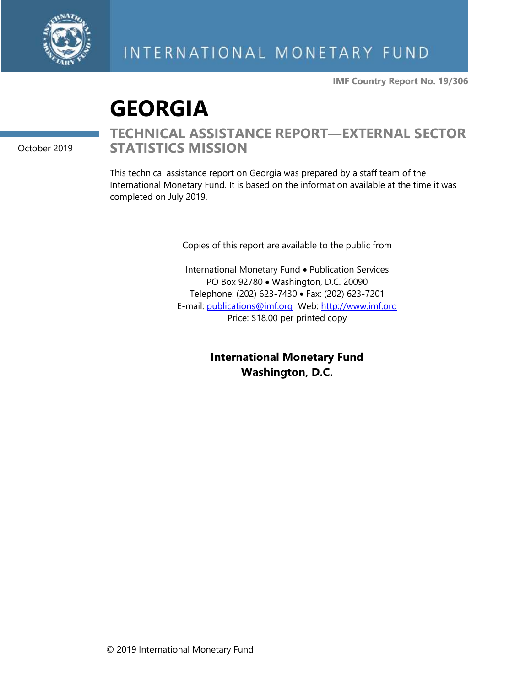

**IMF Country Report No. 19/306**

# **GEORGIA**

October 2019

### **TECHNICAL ASSISTANCE REPORT—EXTERNAL SECTOR STATISTICS MISSION**

This technical assistance report on Georgia was prepared by a staff team of the International Monetary Fund. It is based on the information available at the time it was completed on July 2019.

Copies of this report are available to the public from

International Monetary Fund • Publication Services PO Box 92780 • Washington, D.C. 20090 Telephone: (202) 623-7430 • Fax: (202) 623-7201 E-mail: [publications@imf.org](mailto:publications@imf.org) Web: [http://www.imf.org](http://www.imf.org/) Price: \$18.00 per printed copy

> **International Monetary Fund Washington, D.C.**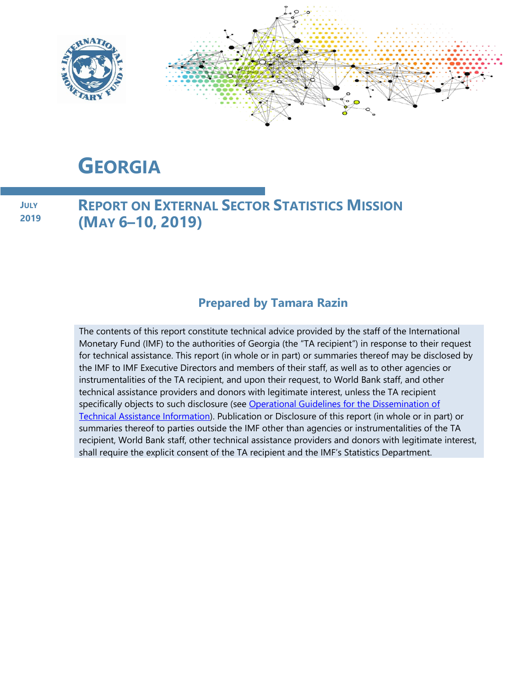

# **GEORGIA**

**JULY 2019**

### **REPORT ON EXTERNAL SECTOR STATISTICS MISSION (MAY 6–10, 2019)**

### **Prepared by Tamara Razin**

The contents of this report constitute technical advice provided by the staff of the International Monetary Fund (IMF) to the authorities of Georgia (the "TA recipient") in response to their request for technical assistance. This report (in whole or in part) or summaries thereof may be disclosed by the IMF to IMF Executive Directors and members of their staff, as well as to other agencies or instrumentalities of the TA recipient, and upon their request, to World Bank staff, and other technical assistance providers and donors with legitimate interest, unless the TA recipient specifically objects to such disclosure (see Operational Guidelines for the Dissemination of [Technical Assistance Information\)](http://www.imf.org/external/np/pp/eng/2013/061013.pdf). Publication or Disclosure of this report (in whole or in part) or summaries thereof to parties outside the IMF other than agencies or instrumentalities of the TA recipient, World Bank staff, other technical assistance providers and donors with legitimate interest, shall require the explicit consent of the TA recipient and the IMF's Statistics Department.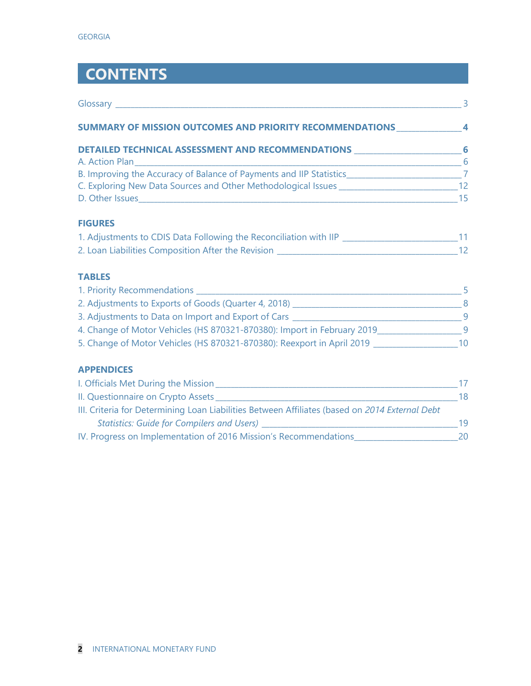# **CONTENTS**

| SUMMARY OF MISSION OUTCOMES AND PRIORITY RECOMMENDATIONS _______________________4                   |  |
|-----------------------------------------------------------------------------------------------------|--|
| DETAILED TECHNICAL ASSESSMENT AND RECOMMENDATIONS ______________________________6                   |  |
| A. Action Plan 6                                                                                    |  |
| B. Improving the Accuracy of Balance of Payments and IIP Statistics______________________________7  |  |
|                                                                                                     |  |
| <b>FIGURES</b>                                                                                      |  |
| 1. Adjustments to CDIS Data Following the Reconciliation with IIP _______________________________11 |  |
|                                                                                                     |  |
| <b>TABLES</b>                                                                                       |  |
|                                                                                                     |  |
|                                                                                                     |  |
|                                                                                                     |  |
| 4. Change of Motor Vehicles (HS 870321-870380): Import in February 2019_______________________9     |  |
| 5. Change of Motor Vehicles (HS 870321-870380): Reexport in April 2019 __________________________10 |  |
| <b>APPENDICES</b>                                                                                   |  |
|                                                                                                     |  |
|                                                                                                     |  |
| III. Criteria for Determining Loan Liabilities Between Affiliates (based on 2014 External Debt      |  |
|                                                                                                     |  |

IV. Progress on Implementation of 2016 Mission's Recommendations\_\_\_\_\_\_\_\_\_\_\_\_\_\_\_\_\_\_\_\_\_\_\_\_\_\_\_20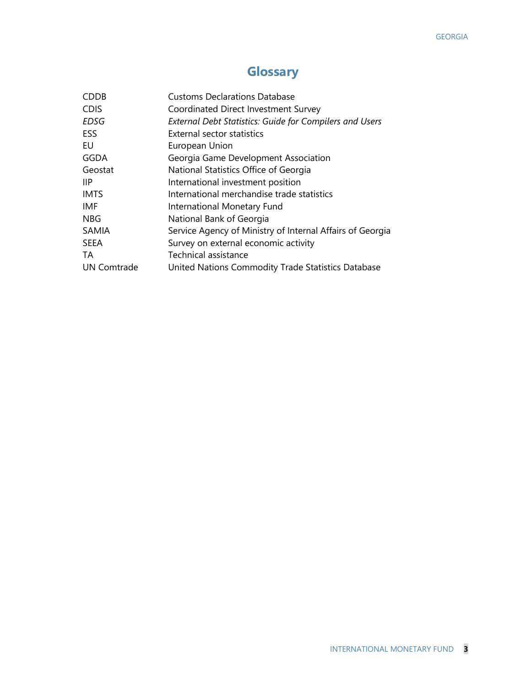### **Glossary**

| <b>CDDB</b>        | <b>Customs Declarations Database</b>                           |
|--------------------|----------------------------------------------------------------|
| <b>CDIS</b>        | Coordinated Direct Investment Survey                           |
| <b>EDSG</b>        | <b>External Debt Statistics: Guide for Compilers and Users</b> |
| ESS                | <b>External sector statistics</b>                              |
| EU                 | European Union                                                 |
| <b>GGDA</b>        | Georgia Game Development Association                           |
| Geostat            | National Statistics Office of Georgia                          |
| IIP.               | International investment position                              |
| <b>IMTS</b>        | International merchandise trade statistics                     |
| IMF                | International Monetary Fund                                    |
| <b>NBG</b>         | National Bank of Georgia                                       |
| <b>SAMIA</b>       | Service Agency of Ministry of Internal Affairs of Georgia      |
| <b>SEEA</b>        | Survey on external economic activity                           |
| TA                 | Technical assistance                                           |
| <b>UN Comtrade</b> | United Nations Commodity Trade Statistics Database             |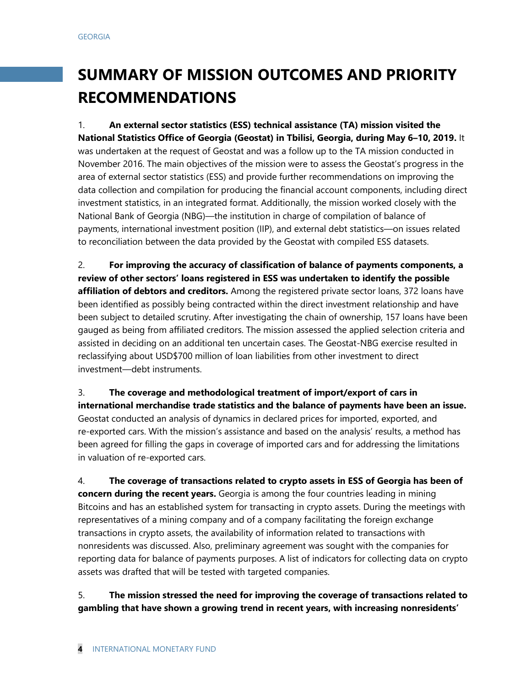# **SUMMARY OF MISSION OUTCOMES AND PRIORITY RECOMMENDATIONS**

1. **An external sector statistics (ESS) technical assistance (TA) mission visited the National Statistics Office of Georgia (Geostat) in Tbilisi, Georgia, during May 6–10, 2019.** It was undertaken at the request of Geostat and was a follow up to the TA mission conducted in November 2016. The main objectives of the mission were to assess the Geostat's progress in the area of external sector statistics (ESS) and provide further recommendations on improving the data collection and compilation for producing the financial account components, including direct investment statistics, in an integrated format. Additionally, the mission worked closely with the National Bank of Georgia (NBG)—the institution in charge of compilation of balance of payments, international investment position (IIP), and external debt statistics—on issues related to reconciliation between the data provided by the Geostat with compiled ESS datasets.

2. **For improving the accuracy of classification of balance of payments components, a review of other sectors' loans registered in ESS was undertaken to identify the possible affiliation of debtors and creditors.** Among the registered private sector loans, 372 loans have been identified as possibly being contracted within the direct investment relationship and have been subject to detailed scrutiny. After investigating the chain of ownership, 157 loans have been gauged as being from affiliated creditors. The mission assessed the applied selection criteria and assisted in deciding on an additional ten uncertain cases. The Geostat-NBG exercise resulted in reclassifying about USD\$700 million of loan liabilities from other investment to direct investment—debt instruments.

3. **The coverage and methodological treatment of import/export of cars in international merchandise trade statistics and the balance of payments have been an issue.** Geostat conducted an analysis of dynamics in declared prices for imported, exported, and re-exported cars. With the mission's assistance and based on the analysis' results, a method has been agreed for filling the gaps in coverage of imported cars and for addressing the limitations in valuation of re-exported cars.

4. **The coverage of transactions related to crypto assets in ESS of Georgia has been of concern during the recent years.** Georgia is among the four countries leading in mining Bitcoins and has an established system for transacting in crypto assets. During the meetings with representatives of a mining company and of a company facilitating the foreign exchange transactions in crypto assets, the availability of information related to transactions with nonresidents was discussed. Also, preliminary agreement was sought with the companies for reporting data for balance of payments purposes. A list of indicators for collecting data on crypto assets was drafted that will be tested with targeted companies.

#### 5. **The mission stressed the need for improving the coverage of transactions related to gambling that have shown a growing trend in recent years, with increasing nonresidents'**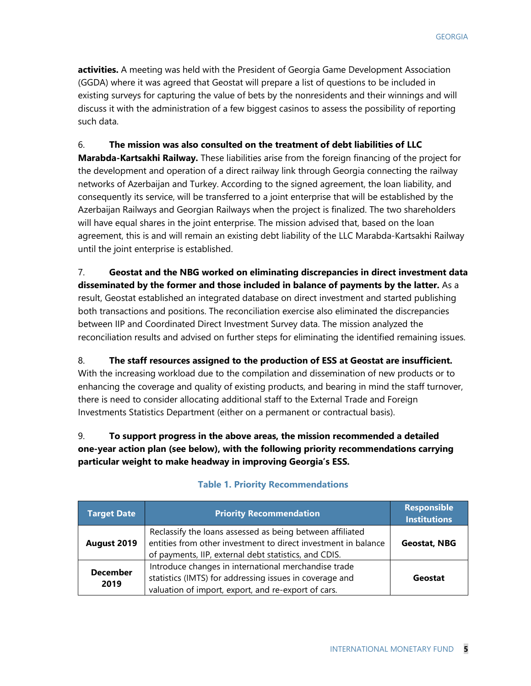**activities.** A meeting was held with the President of Georgia Game Development Association (GGDA) where it was agreed that Geostat will prepare a list of questions to be included in existing surveys for capturing the value of bets by the nonresidents and their winnings and will discuss it with the administration of a few biggest casinos to assess the possibility of reporting such data.

6. **The mission was also consulted on the treatment of debt liabilities of LLC Marabda-Kartsakhi Railway.** These liabilities arise from the foreign financing of the project for the development and operation of a direct railway link through Georgia connecting the railway networks of Azerbaijan and Turkey. According to the signed agreement, the loan liability, and consequently its service, will be transferred to a joint enterprise that will be established by the Azerbaijan Railways and Georgian Railways when the project is finalized. The two shareholders will have equal shares in the joint enterprise. The mission advised that, based on the loan agreement, this is and will remain an existing debt liability of the LLC Marabda-Kartsakhi Railway until the joint enterprise is established.

7. **Geostat and the NBG worked on eliminating discrepancies in direct investment data disseminated by the former and those included in balance of payments by the latter.** As a result, Geostat established an integrated database on direct investment and started publishing both transactions and positions. The reconciliation exercise also eliminated the discrepancies between IIP and Coordinated Direct Investment Survey data. The mission analyzed the reconciliation results and advised on further steps for eliminating the identified remaining issues.

8. **The staff resources assigned to the production of ESS at Geostat are insufficient.**  With the increasing workload due to the compilation and dissemination of new products or to enhancing the coverage and quality of existing products, and bearing in mind the staff turnover, there is need to consider allocating additional staff to the External Trade and Foreign Investments Statistics Department (either on a permanent or contractual basis).

#### 9. **To support progress in the above areas, the mission recommended a detailed one-year action plan (see below), with the following priority recommendations carrying particular weight to make headway in improving Georgia's ESS.**

| Target Date             | <b>Priority Recommendation</b>                                                                                                                                                       | <b>Responsible</b><br><b>Institutions</b> |
|-------------------------|--------------------------------------------------------------------------------------------------------------------------------------------------------------------------------------|-------------------------------------------|
| August 2019             | Reclassify the loans assessed as being between affiliated<br>entities from other investment to direct investment in balance<br>of payments, IIP, external debt statistics, and CDIS. | <b>Geostat, NBG</b>                       |
| <b>December</b><br>2019 | Introduce changes in international merchandise trade<br>statistics (IMTS) for addressing issues in coverage and<br>valuation of import, export, and re-export of cars.               | Geostat                                   |

#### **Table 1. Priority Recommendations**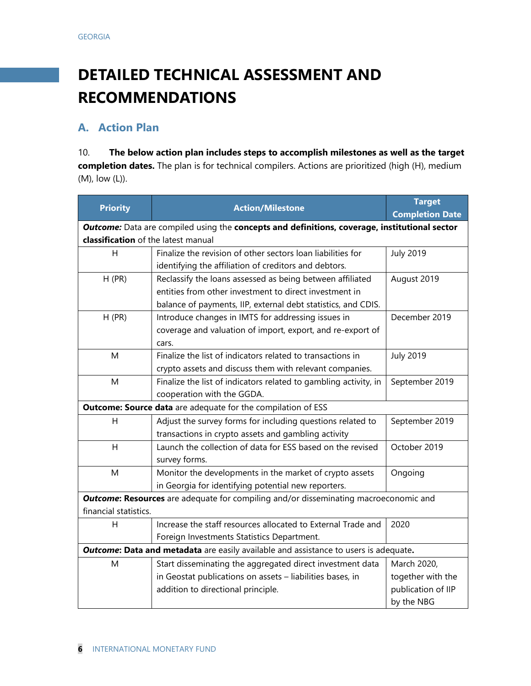# **DETAILED TECHNICAL ASSESSMENT AND RECOMMENDATIONS**

#### **A. Action Plan**

10. **The below action plan includes steps to accomplish milestones as well as the target completion dates.** The plan is for technical compilers. Actions are prioritized (high (H), medium (M), low (L)).

| <b>Priority</b>                                                                             | <b>Action/Milestone</b>                                                                       | <b>Target</b>          |  |  |  |  |
|---------------------------------------------------------------------------------------------|-----------------------------------------------------------------------------------------------|------------------------|--|--|--|--|
|                                                                                             |                                                                                               | <b>Completion Date</b> |  |  |  |  |
|                                                                                             | Outcome: Data are compiled using the concepts and definitions, coverage, institutional sector |                        |  |  |  |  |
| classification of the latest manual                                                         |                                                                                               |                        |  |  |  |  |
| H                                                                                           | Finalize the revision of other sectors loan liabilities for                                   | <b>July 2019</b>       |  |  |  |  |
|                                                                                             | identifying the affiliation of creditors and debtors.                                         |                        |  |  |  |  |
| H(PR)                                                                                       | Reclassify the loans assessed as being between affiliated                                     | August 2019            |  |  |  |  |
|                                                                                             | entities from other investment to direct investment in                                        |                        |  |  |  |  |
|                                                                                             | balance of payments, IIP, external debt statistics, and CDIS.                                 |                        |  |  |  |  |
| $H$ (PR)                                                                                    | Introduce changes in IMTS for addressing issues in                                            | December 2019          |  |  |  |  |
|                                                                                             | coverage and valuation of import, export, and re-export of                                    |                        |  |  |  |  |
|                                                                                             | cars.                                                                                         |                        |  |  |  |  |
| M                                                                                           | Finalize the list of indicators related to transactions in                                    | <b>July 2019</b>       |  |  |  |  |
|                                                                                             | crypto assets and discuss them with relevant companies.                                       |                        |  |  |  |  |
| M                                                                                           | Finalize the list of indicators related to gambling activity, in                              | September 2019         |  |  |  |  |
|                                                                                             | cooperation with the GGDA.                                                                    |                        |  |  |  |  |
|                                                                                             | Outcome: Source data are adequate for the compilation of ESS                                  |                        |  |  |  |  |
| н                                                                                           | Adjust the survey forms for including questions related to                                    | September 2019         |  |  |  |  |
|                                                                                             | transactions in crypto assets and gambling activity                                           |                        |  |  |  |  |
| Launch the collection of data for ESS based on the revised<br>H                             |                                                                                               | October 2019           |  |  |  |  |
|                                                                                             | survey forms.                                                                                 |                        |  |  |  |  |
| M                                                                                           | Monitor the developments in the market of crypto assets                                       | Ongoing                |  |  |  |  |
|                                                                                             | in Georgia for identifying potential new reporters.                                           |                        |  |  |  |  |
|                                                                                             | <b>Outcome: Resources</b> are adequate for compiling and/or disseminating macroeconomic and   |                        |  |  |  |  |
| financial statistics.                                                                       |                                                                                               |                        |  |  |  |  |
| H                                                                                           | Increase the staff resources allocated to External Trade and                                  | 2020                   |  |  |  |  |
|                                                                                             | Foreign Investments Statistics Department.                                                    |                        |  |  |  |  |
| <b>Outcome: Data and metadata</b> are easily available and assistance to users is adequate. |                                                                                               |                        |  |  |  |  |
| M                                                                                           | Start disseminating the aggregated direct investment data                                     | March 2020,            |  |  |  |  |
|                                                                                             | in Geostat publications on assets - liabilities bases, in                                     | together with the      |  |  |  |  |
|                                                                                             | addition to directional principle.                                                            | publication of IIP     |  |  |  |  |
|                                                                                             |                                                                                               | by the NBG             |  |  |  |  |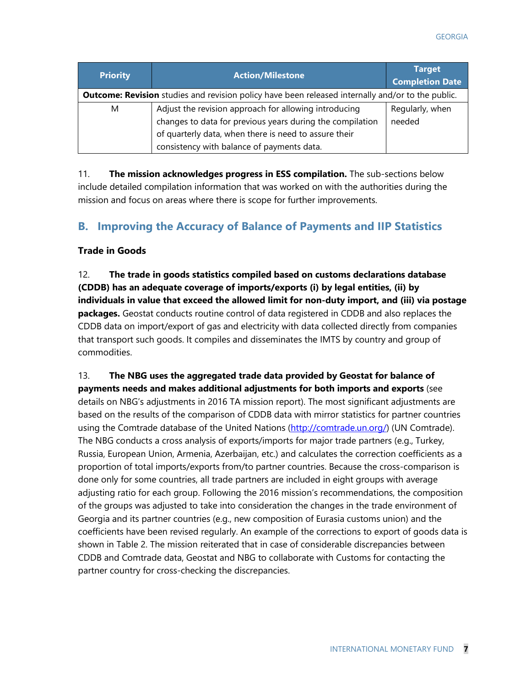| <b>Priority</b>                                                                                          | <b>Action/Milestone</b>                                                                                                                                                                                                   | <b>Target</b><br><b>Completion Date</b> |  |
|----------------------------------------------------------------------------------------------------------|---------------------------------------------------------------------------------------------------------------------------------------------------------------------------------------------------------------------------|-----------------------------------------|--|
| <b>Outcome: Revision</b> studies and revision policy have been released internally and/or to the public. |                                                                                                                                                                                                                           |                                         |  |
| M                                                                                                        | Adjust the revision approach for allowing introducing<br>changes to data for previous years during the compilation<br>of quarterly data, when there is need to assure their<br>consistency with balance of payments data. | Regularly, when<br>needed               |  |

11. **The mission acknowledges progress in ESS compilation.** The sub-sections below include detailed compilation information that was worked on with the authorities during the mission and focus on areas where there is scope for further improvements.

#### **B. Improving the Accuracy of Balance of Payments and IIP Statistics**

#### **Trade in Goods**

12. **The trade in goods statistics compiled based on customs declarations database (CDDB) has an adequate coverage of imports/exports (i) by legal entities, (ii) by individuals in value that exceed the allowed limit for non-duty import, and (iii) via postage packages.** Geostat conducts routine control of data registered in CDDB and also replaces the CDDB data on import/export of gas and electricity with data collected directly from companies that transport such goods. It compiles and disseminates the IMTS by country and group of commodities.

13. **The NBG uses the aggregated trade data provided by Geostat for balance of payments needs and makes additional adjustments for both imports and exports** (see details on NBG's adjustments in 2016 TA mission report). The most significant adjustments are based on the results of the comparison of CDDB data with mirror statistics for partner countries using the Comtrade database of the United Nations [\(http://comtrade.un.org/\)](https://mail.imf.org/owa/,DanaInfo=cashq.imf.org,SSL+redir.aspx?C=y_U_7KlkJky1EIDkipPYCPM9QSVfi89IOCxY3w9vBI9EcytXzUcuZSRXHNwKRdJnyB5FEfcPlHo.&URL=http%3a%2f%2fcomtrade.un.org%2f) (UN Comtrade). The NBG conducts a cross analysis of exports/imports for major trade partners (e.g., Turkey, Russia, European Union, Armenia, Azerbaijan, etc.) and calculates the correction coefficients as a proportion of total imports/exports from/to partner countries. Because the cross-comparison is done only for some countries, all trade partners are included in eight groups with average adjusting ratio for each group. Following the 2016 mission's recommendations, the composition of the groups was adjusted to take into consideration the changes in the trade environment of Georgia and its partner countries (e.g., new composition of Eurasia customs union) and the coefficients have been revised regularly. An example of the corrections to export of goods data is shown in Table 2. The mission reiterated that in case of considerable discrepancies between CDDB and Comtrade data, Geostat and NBG to collaborate with Customs for contacting the partner country for cross-checking the discrepancies.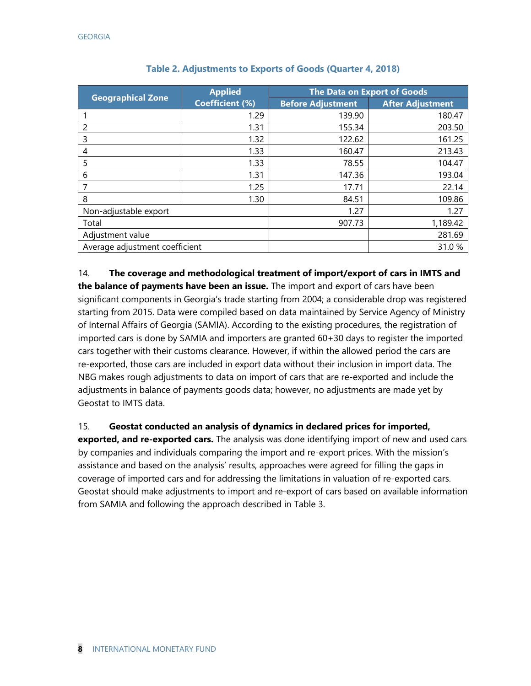|                                | <b>Applied</b>         | <b>The Data on Export of Goods</b> |                         |  |  |
|--------------------------------|------------------------|------------------------------------|-------------------------|--|--|
| <b>Geographical Zone</b>       | <b>Coefficient (%)</b> | <b>Before Adjustment</b>           | <b>After Adjustment</b> |  |  |
|                                | 1.29                   | 139.90                             | 180.47                  |  |  |
| 2                              | 1.31                   | 155.34                             | 203.50                  |  |  |
| 3                              | 1.32                   | 122.62                             | 161.25                  |  |  |
| 4                              | 1.33                   | 160.47                             | 213.43                  |  |  |
| 5                              | 1.33                   | 78.55                              | 104.47                  |  |  |
| 6                              | 1.31                   | 147.36                             | 193.04                  |  |  |
|                                | 1.25                   | 17.71                              | 22.14                   |  |  |
| 8                              | 1.30                   | 84.51                              | 109.86                  |  |  |
| Non-adjustable export          |                        | 1.27                               | 1.27                    |  |  |
| Total                          |                        | 907.73                             | 1,189.42                |  |  |
| Adjustment value               |                        |                                    | 281.69                  |  |  |
| Average adjustment coefficient |                        |                                    | 31.0%                   |  |  |

| Table 2. Adjustments to Exports of Goods (Quarter 4, 2018) |  |  |  |  |
|------------------------------------------------------------|--|--|--|--|
|                                                            |  |  |  |  |

14. **The coverage and methodological treatment of import/export of cars in IMTS and the balance of payments have been an issue.** The import and export of cars have been significant components in Georgia's trade starting from 2004; a considerable drop was registered starting from 2015. Data were compiled based on data maintained by Service Agency of Ministry of Internal Affairs of Georgia (SAMIA). According to the existing procedures, the registration of imported cars is done by SAMIA and importers are granted 60+30 days to register the imported cars together with their customs clearance. However, if within the allowed period the cars are re-exported, those cars are included in export data without their inclusion in import data. The NBG makes rough adjustments to data on import of cars that are re-exported and include the adjustments in balance of payments goods data; however, no adjustments are made yet by Geostat to IMTS data.

15. **Geostat conducted an analysis of dynamics in declared prices for imported,** 

**exported, and re-exported cars.** The analysis was done identifying import of new and used cars by companies and individuals comparing the import and re-export prices. With the mission's assistance and based on the analysis' results, approaches were agreed for filling the gaps in coverage of imported cars and for addressing the limitations in valuation of re-exported cars. Geostat should make adjustments to import and re-export of cars based on available information from SAMIA and following the approach described in Table 3.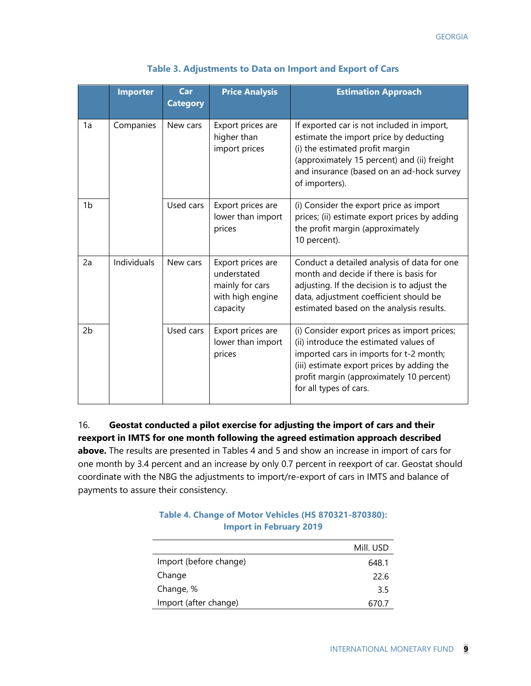|                | <b>Importer</b>    | Car<br><b>Category</b> | <b>Price Analysis</b>                                                               | <b>Estimation Approach</b>                                                                                                                                                                                                                            |
|----------------|--------------------|------------------------|-------------------------------------------------------------------------------------|-------------------------------------------------------------------------------------------------------------------------------------------------------------------------------------------------------------------------------------------------------|
| 1a             | Companies          | New cars               | Export prices are<br>higher than<br>import prices                                   | If exported car is not included in import,<br>estimate the import price by deducting<br>(i) the estimated profit margin<br>(approximately 15 percent) and (ii) freight<br>and insurance (based on an ad-hock survey<br>of importers).                 |
| 1 <sub>b</sub> |                    | Used cars              | Export prices are<br>lower than import<br>prices                                    | (i) Consider the export price as import<br>prices; (ii) estimate export prices by adding<br>the profit margin (approximately<br>10 percent).                                                                                                          |
| 2a             | <b>Individuals</b> | New cars               | Export prices are<br>understated<br>mainly for cars<br>with high engine<br>capacity | Conduct a detailed analysis of data for one<br>month and decide if there is basis for<br>adjusting. If the decision is to adjust the<br>data, adjustment coefficient should be<br>estimated based on the analysis results.                            |
| 2 <sub>b</sub> |                    | Used cars              | Export prices are<br>lower than import<br>prices                                    | (i) Consider export prices as import prices;<br>(ii) introduce the estimated values of<br>imported cars in imports for t-2 month;<br>(iii) estimate export prices by adding the<br>profit margin (approximately 10 percent)<br>for all types of cars. |

| Table 3. Adjustments to Data on Import and Export of Cars |
|-----------------------------------------------------------|
|-----------------------------------------------------------|

16. **Geostat conducted a pilot exercise for adjusting the import of cars and their reexport in IMTS for one month following the agreed estimation approach described above.** The results are presented in Tables 4 and 5 and show an increase in import of cars for one month by 3.4 percent and an increase by only 0.7 percent in reexport of car. Geostat should coordinate with the NBG the adjustments to import/re-export of cars in IMTS and balance of payments to assure their consistency.

|                        | Mill. USD |
|------------------------|-----------|
| Import (before change) | 648.1     |
| Change                 | 22.6      |
| Change, %              | 3.5       |
| Import (after change)  | 670.7     |

#### **Table 4. Change of Motor Vehicles (HS 870321-870380): Import in February 2019**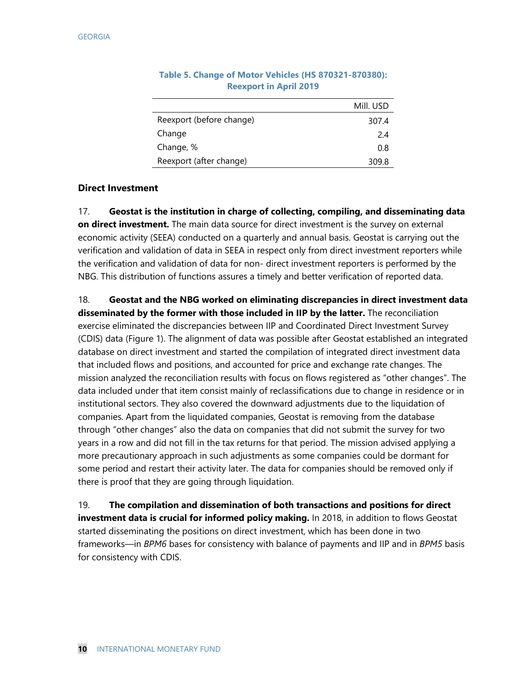|                          | Mill. USD |
|--------------------------|-----------|
| Reexport (before change) | 307.4     |
| Change                   | 2.4       |
| Change, %                | 0.8       |
| Reexport (after change)  | 309.8     |

#### **Table 5. Change of Motor Vehicles (HS 870321-870380): Reexport in April 2019**

#### **Direct Investment**

17. **Geostat is the institution in charge of collecting, compiling, and disseminating data on direct investment.** The main data source for direct investment is the survey on external economic activity (SEEA) conducted on a quarterly and annual basis. Geostat is carrying out the verification and validation of data in SEEA in respect only from direct investment reporters while the verification and validation of data for non- direct investment reporters is performed by the NBG. This distribution of functions assures a timely and better verification of reported data.

18. **Geostat and the NBG worked on eliminating discrepancies in direct investment data disseminated by the former with those included in IIP by the latter.** The reconciliation exercise eliminated the discrepancies between IIP and Coordinated Direct Investment Survey (CDIS) data (Figure 1). The alignment of data was possible after Geostat established an integrated database on direct investment and started the compilation of integrated direct investment data that included flows and positions, and accounted for price and exchange rate changes. The mission analyzed the reconciliation results with focus on flows registered as "other changes". The data included under that item consist mainly of reclassifications due to change in residence or in institutional sectors. They also covered the downward adjustments due to the liquidation of companies. Apart from the liquidated companies, Geostat is removing from the database through "other changes" also the data on companies that did not submit the survey for two years in a row and did not fill in the tax returns for that period. The mission advised applying a more precautionary approach in such adjustments as some companies could be dormant for some period and restart their activity later. The data for companies should be removed only if there is proof that they are going through liquidation.

19. **The compilation and dissemination of both transactions and positions for direct investment data is crucial for informed policy making.** In 2018, in addition to flows Geostat started disseminating the positions on direct investment, which has been done in two frameworks—in *BPM6* bases for consistency with balance of payments and IIP and in *BPM5* basis for consistency with CDIS.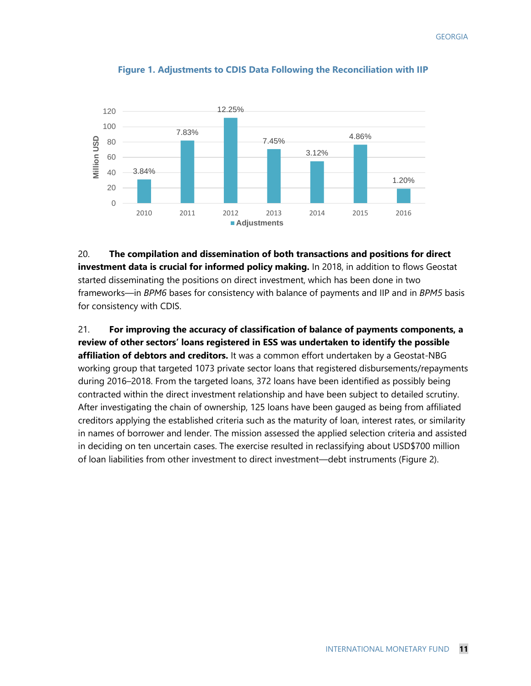

#### **Figure 1. Adjustments to CDIS Data Following the Reconciliation with IIP**

20. **The compilation and dissemination of both transactions and positions for direct investment data is crucial for informed policy making.** In 2018, in addition to flows Geostat started disseminating the positions on direct investment, which has been done in two frameworks—in *BPM6* bases for consistency with balance of payments and IIP and in *BPM5* basis for consistency with CDIS.

21. **For improving the accuracy of classification of balance of payments components, a review of other sectors' loans registered in ESS was undertaken to identify the possible affiliation of debtors and creditors.** It was a common effort undertaken by a Geostat-NBG working group that targeted 1073 private sector loans that registered disbursements/repayments during 2016–2018. From the targeted loans, 372 loans have been identified as possibly being contracted within the direct investment relationship and have been subject to detailed scrutiny. After investigating the chain of ownership, 125 loans have been gauged as being from affiliated creditors applying the established criteria such as the maturity of loan, interest rates, or similarity in names of borrower and lender. The mission assessed the applied selection criteria and assisted in deciding on ten uncertain cases. The exercise resulted in reclassifying about USD\$700 million of loan liabilities from other investment to direct investment—debt instruments (Figure 2).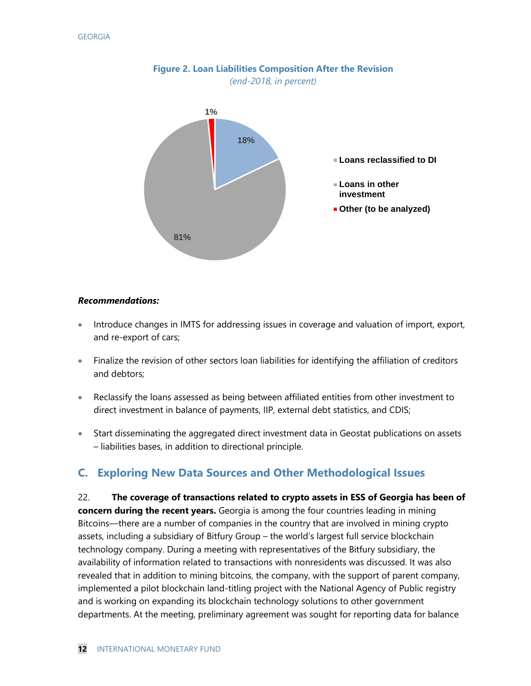

#### **Figure 2. Loan Liabilities Composition After the Revision** *(end-2018, in percent)*

#### *Recommendations:*

- Introduce changes in IMTS for addressing issues in coverage and valuation of import, export, and re-export of cars;
- Finalize the revision of other sectors loan liabilities for identifying the affiliation of creditors and debtors;
- Reclassify the loans assessed as being between affiliated entities from other investment to direct investment in balance of payments, IIP, external debt statistics, and CDIS;
- Start disseminating the aggregated direct investment data in Geostat publications on assets – liabilities bases, in addition to directional principle.

#### **C. Exploring New Data Sources and Other Methodological Issues**

22. **The coverage of transactions related to crypto assets in ESS of Georgia has been of concern during the recent years.** Georgia is among the four countries leading in mining Bitcoins—there are a number of companies in the country that are involved in mining crypto assets, including a subsidiary of Bitfury Group – the world's largest full service blockchain technology company. During a meeting with representatives of the Bitfury subsidiary, the availability of information related to transactions with nonresidents was discussed. It was also revealed that in addition to mining bitcoins, the company, with the support of parent company, implemented a pilot blockchain land-titling project with the National Agency of Public registry and is working on expanding its blockchain technology solutions to other government departments. At the meeting, preliminary agreement was sought for reporting data for balance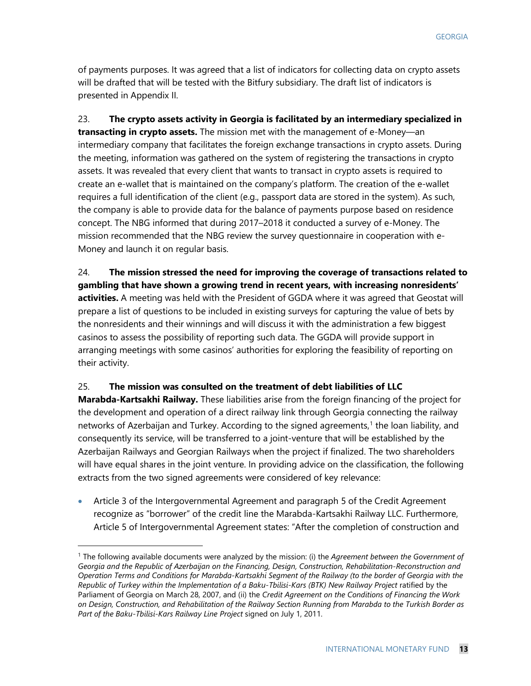of payments purposes. It was agreed that a list of indicators for collecting data on crypto assets will be drafted that will be tested with the Bitfury subsidiary. The draft list of indicators is presented in Appendix II.

23. **The crypto assets activity in Georgia is facilitated by an intermediary specialized in transacting in crypto assets.** The mission met with the management of e-Money—an intermediary company that facilitates the foreign exchange transactions in crypto assets. During the meeting, information was gathered on the system of registering the transactions in crypto assets. It was revealed that every client that wants to transact in crypto assets is required to create an e-wallet that is maintained on the company's platform. The creation of the e-wallet requires a full identification of the client (e.g., passport data are stored in the system). As such, the company is able to provide data for the balance of payments purpose based on residence concept. The NBG informed that during 2017–2018 it conducted a survey of e-Money. The mission recommended that the NBG review the survey questionnaire in cooperation with e-Money and launch it on regular basis.

24. **The mission stressed the need for improving the coverage of transactions related to gambling that have shown a growing trend in recent years, with increasing nonresidents' activities.** A meeting was held with the President of GGDA where it was agreed that Geostat will prepare a list of questions to be included in existing surveys for capturing the value of bets by the nonresidents and their winnings and will discuss it with the administration a few biggest casinos to assess the possibility of reporting such data. The GGDA will provide support in arranging meetings with some casinos' authorities for exploring the feasibility of reporting on their activity.

#### 25. **The mission was consulted on the treatment of debt liabilities of LLC**

**Marabda-Kartsakhi Railway.** These liabilities arise from the foreign financing of the project for the development and operation of a direct railway link through Georgia connecting the railway networks of Azerbaijan and Turkey. According to the signed agreements, [1](#page-13-0) the loan liability, and consequently its service, will be transferred to a joint-venture that will be established by the Azerbaijan Railways and Georgian Railways when the project if finalized. The two shareholders will have equal shares in the joint venture. In providing advice on the classification, the following extracts from the two signed agreements were considered of key relevance:

• Article 3 of the Intergovernmental Agreement and paragraph 5 of the Credit Agreement recognize as "borrower" of the credit line the Marabda-Kartsakhi Railway LLC. Furthermore, Article 5 of Intergovernmental Agreement states: "After the completion of construction and

<span id="page-13-0"></span> <sup>1</sup> The following available documents were analyzed by the mission: (i) the *Agreement between the Government of Georgia and the Republic of Azerbaijan on the Financing, Design, Construction, Rehabilitation-Reconstruction and Operation Terms and Conditions for Marabda-Kartsakhi Segment of the Railway (to the border of Georgia with the Republic of Turkey within the Implementation of a Baku-Tbilisi-Kars (BTK) New Railway Project* ratified by the Parliament of Georgia on March 28, 2007, and (ii) the *Credit Agreement on the Conditions of Financing the Work on Design, Construction, and Rehabilitation of the Railway Section Running from Marabda to the Turkish Border as Part of the Baku-Tbilisi-Kars Railway Line Project* signed on July 1, 2011.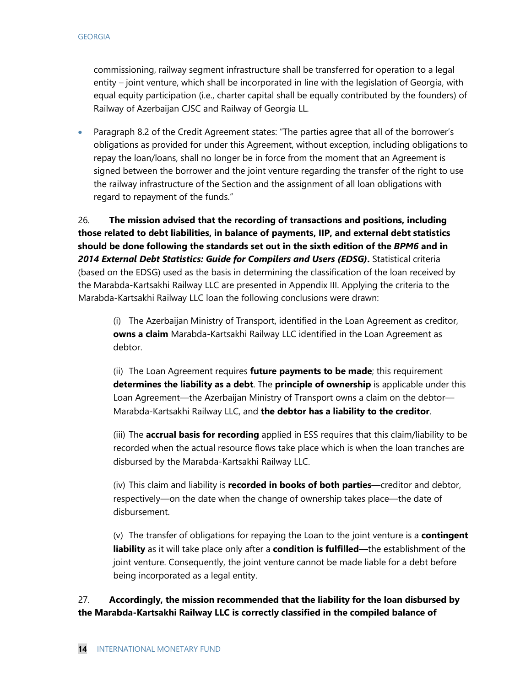commissioning, railway segment infrastructure shall be transferred for operation to a legal entity – joint venture, which shall be incorporated in line with the legislation of Georgia, with equal equity participation (i.e., charter capital shall be equally contributed by the founders) of Railway of Azerbaijan CJSC and Railway of Georgia LL.

• Paragraph 8.2 of the Credit Agreement states: "The parties agree that all of the borrower's obligations as provided for under this Agreement, without exception, including obligations to repay the loan/loans, shall no longer be in force from the moment that an Agreement is signed between the borrower and the joint venture regarding the transfer of the right to use the railway infrastructure of the Section and the assignment of all loan obligations with regard to repayment of the funds."

26. **The mission advised that the recording of transactions and positions, including those related to debt liabilities, in balance of payments, IIP, and external debt statistics should be done following the standards set out in the sixth edition of the** *BPM6* **and in**  *2014 External Debt Statistics: Guide for Compilers and Users (EDSG)***.** Statistical criteria (based on the EDSG) used as the basis in determining the classification of the loan received by the Marabda-Kartsakhi Railway LLC are presented in Appendix III. Applying the criteria to the Marabda-Kartsakhi Railway LLC loan the following conclusions were drawn:

(i) The Azerbaijan Ministry of Transport, identified in the Loan Agreement as creditor, **owns a claim** Marabda-Kartsakhi Railway LLC identified in the Loan Agreement as debtor.

(ii) The Loan Agreement requires **future payments to be made**; this requirement **determines the liability as a debt**. The **principle of ownership** is applicable under this Loan Agreement—the Azerbaijan Ministry of Transport owns a claim on the debtor— Marabda-Kartsakhi Railway LLC, and **the debtor has a liability to the creditor**.

(iii) The **accrual basis for recording** applied in ESS requires that this claim/liability to be recorded when the actual resource flows take place which is when the loan tranches are disbursed by the Marabda-Kartsakhi Railway LLC.

(iv) This claim and liability is **recorded in books of both parties**—creditor and debtor, respectively—on the date when the change of ownership takes place—the date of disbursement.

(v) The transfer of obligations for repaying the Loan to the joint venture is a **contingent liability** as it will take place only after a **condition is fulfilled**—the establishment of the joint venture. Consequently, the joint venture cannot be made liable for a debt before being incorporated as a legal entity.

27. **Accordingly, the mission recommended that the liability for the loan disbursed by the Marabda-Kartsakhi Railway LLC is correctly classified in the compiled balance of**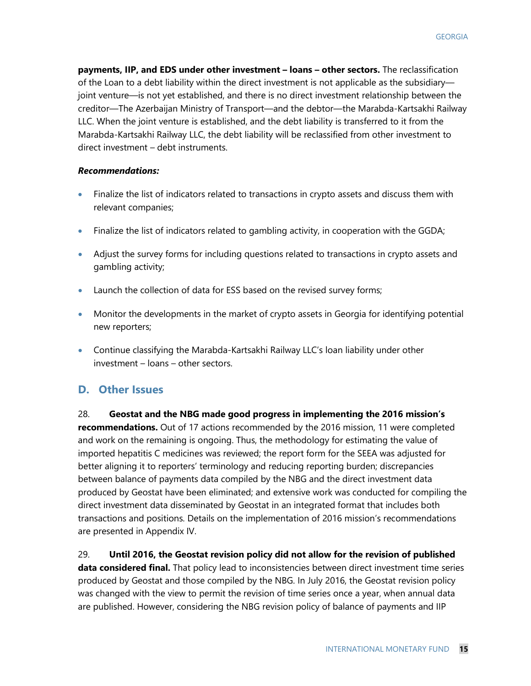**payments, IIP, and EDS under other investment – loans – other sectors.** The reclassification of the Loan to a debt liability within the direct investment is not applicable as the subsidiary joint venture—is not yet established, and there is no direct investment relationship between the creditor—The Azerbaijan Ministry of Transport—and the debtor—the Marabda-Kartsakhi Railway LLC. When the joint venture is established, and the debt liability is transferred to it from the Marabda-Kartsakhi Railway LLC, the debt liability will be reclassified from other investment to direct investment – debt instruments.

#### *Recommendations:*

- Finalize the list of indicators related to transactions in crypto assets and discuss them with relevant companies;
- Finalize the list of indicators related to gambling activity, in cooperation with the GGDA;
- Adjust the survey forms for including questions related to transactions in crypto assets and gambling activity;
- Launch the collection of data for ESS based on the revised survey forms;
- Monitor the developments in the market of crypto assets in Georgia for identifying potential new reporters;
- Continue classifying the Marabda-Kartsakhi Railway LLC's loan liability under other investment – loans – other sectors.

#### **D. Other Issues**

28. **Geostat and the NBG made good progress in implementing the 2016 mission's recommendations.** Out of 17 actions recommended by the 2016 mission, 11 were completed and work on the remaining is ongoing. Thus, the methodology for estimating the value of imported hepatitis C medicines was reviewed; the report form for the SEEA was adjusted for better aligning it to reporters' terminology and reducing reporting burden; discrepancies between balance of payments data compiled by the NBG and the direct investment data produced by Geostat have been eliminated; and extensive work was conducted for compiling the direct investment data disseminated by Geostat in an integrated format that includes both transactions and positions. Details on the implementation of 2016 mission's recommendations are presented in Appendix IV.

29. **Until 2016, the Geostat revision policy did not allow for the revision of published data considered final.** That policy lead to inconsistencies between direct investment time series produced by Geostat and those compiled by the NBG. In July 2016, the Geostat revision policy was changed with the view to permit the revision of time series once a year, when annual data are published. However, considering the NBG revision policy of balance of payments and IIP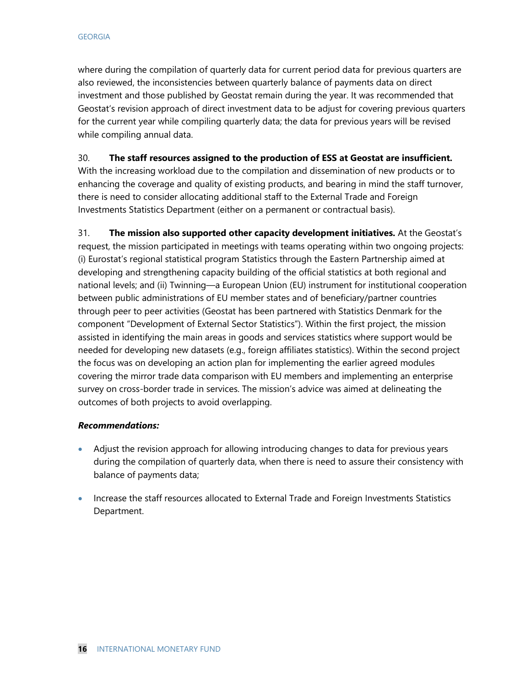where during the compilation of quarterly data for current period data for previous quarters are also reviewed, the inconsistencies between quarterly balance of payments data on direct investment and those published by Geostat remain during the year. It was recommended that Geostat's revision approach of direct investment data to be adjust for covering previous quarters for the current year while compiling quarterly data; the data for previous years will be revised while compiling annual data.

#### 30. **The staff resources assigned to the production of ESS at Geostat are insufficient.**

With the increasing workload due to the compilation and dissemination of new products or to enhancing the coverage and quality of existing products, and bearing in mind the staff turnover, there is need to consider allocating additional staff to the External Trade and Foreign Investments Statistics Department (either on a permanent or contractual basis).

31. **The mission also supported other capacity development initiatives.** At the Geostat's request, the mission participated in meetings with teams operating within two ongoing projects: (i) Eurostat's regional statistical program Statistics through the Eastern Partnership aimed at developing and strengthening capacity building of the official statistics at both regional and national levels; and (ii) Twinning—a European Union (EU) instrument for institutional cooperation between public administrations of EU member states and of beneficiary/partner countries through peer to peer activities (Geostat has been partnered with Statistics Denmark for the component "Development of External Sector Statistics"). Within the first project, the mission assisted in identifying the main areas in goods and services statistics where support would be needed for developing new datasets (e.g., foreign affiliates statistics). Within the second project the focus was on developing an action plan for implementing the earlier agreed modules covering the mirror trade data comparison with EU members and implementing an enterprise survey on cross-border trade in services. The mission's advice was aimed at delineating the outcomes of both projects to avoid overlapping.

#### *Recommendations:*

- Adjust the revision approach for allowing introducing changes to data for previous years during the compilation of quarterly data, when there is need to assure their consistency with balance of payments data;
- Increase the staff resources allocated to External Trade and Foreign Investments Statistics Department.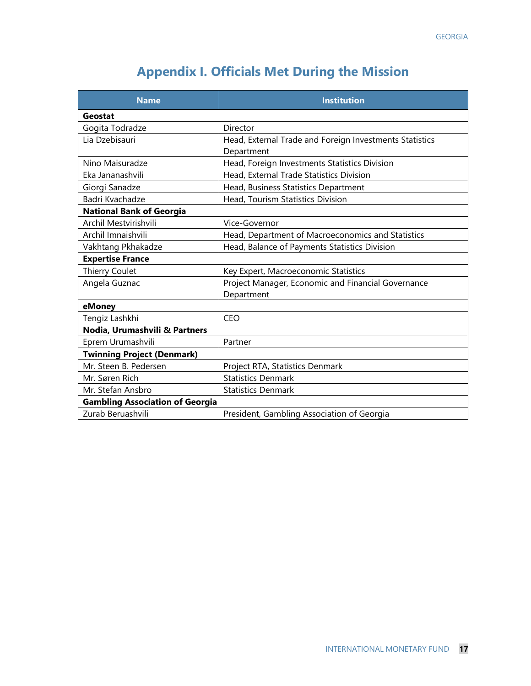# **Appendix I. Officials Met During the Mission**

| <b>Name</b>                            | <b>Institution</b>                                      |
|----------------------------------------|---------------------------------------------------------|
| Geostat                                |                                                         |
| Gogita Todradze                        | Director                                                |
| Lia Dzebisauri                         | Head, External Trade and Foreign Investments Statistics |
|                                        | Department                                              |
| Nino Maisuradze                        | Head, Foreign Investments Statistics Division           |
| Eka Jananashvili                       | Head, External Trade Statistics Division                |
| Giorgi Sanadze                         | Head, Business Statistics Department                    |
| Badri Kvachadze                        | Head, Tourism Statistics Division                       |
| <b>National Bank of Georgia</b>        |                                                         |
| Archil Mestvirishvili                  | Vice-Governor                                           |
| Archil Imnaishvili                     | Head, Department of Macroeconomics and Statistics       |
| Vakhtang Pkhakadze                     | Head, Balance of Payments Statistics Division           |
| <b>Expertise France</b>                |                                                         |
| Thierry Coulet                         | Key Expert, Macroeconomic Statistics                    |
| Angela Guznac                          | Project Manager, Economic and Financial Governance      |
|                                        | Department                                              |
| eMoney                                 |                                                         |
| Tengiz Lashkhi                         | <b>CEO</b>                                              |
| Nodia, Urumashvili & Partners          |                                                         |
| Eprem Urumashvili                      | Partner                                                 |
| <b>Twinning Project (Denmark)</b>      |                                                         |
| Mr. Steen B. Pedersen                  | Project RTA, Statistics Denmark                         |
| Mr. Søren Rich                         | <b>Statistics Denmark</b>                               |
| Mr. Stefan Ansbro                      | <b>Statistics Denmark</b>                               |
| <b>Gambling Association of Georgia</b> |                                                         |
| Zurab Beruashvili                      | President, Gambling Association of Georgia              |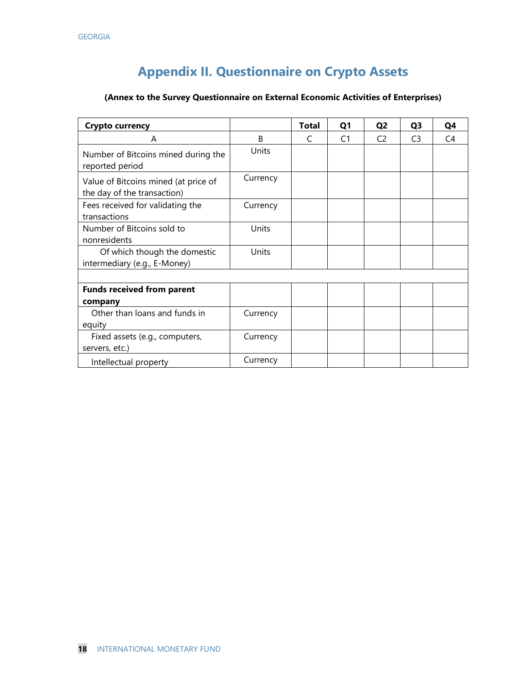# **Appendix II. Questionnaire on Crypto Assets**

#### **(Annex to the Survey Questionnaire on External Economic Activities of Enterprises)**

| <b>Crypto currency</b>                                              |          | <b>Total</b>  | Q <sub>1</sub> | Q <sub>2</sub> | Q <sub>3</sub> | Q4             |
|---------------------------------------------------------------------|----------|---------------|----------------|----------------|----------------|----------------|
| A                                                                   | B        | $\mathcal{C}$ | C <sub>1</sub> | C <sub>2</sub> | C <sub>3</sub> | C <sub>4</sub> |
| Number of Bitcoins mined during the<br>reported period              | Units    |               |                |                |                |                |
| Value of Bitcoins mined (at price of<br>the day of the transaction) | Currency |               |                |                |                |                |
| Fees received for validating the<br>transactions                    | Currency |               |                |                |                |                |
| Number of Bitcoins sold to<br>nonresidents                          | Units    |               |                |                |                |                |
| Of which though the domestic<br>intermediary (e.g., E-Money)        | Units    |               |                |                |                |                |
|                                                                     |          |               |                |                |                |                |
| <b>Funds received from parent</b>                                   |          |               |                |                |                |                |
| company                                                             |          |               |                |                |                |                |
| Other than loans and funds in                                       | Currency |               |                |                |                |                |
| equity                                                              |          |               |                |                |                |                |
| Fixed assets (e.g., computers,<br>servers, etc.)                    | Currency |               |                |                |                |                |
| Intellectual property                                               | Currency |               |                |                |                |                |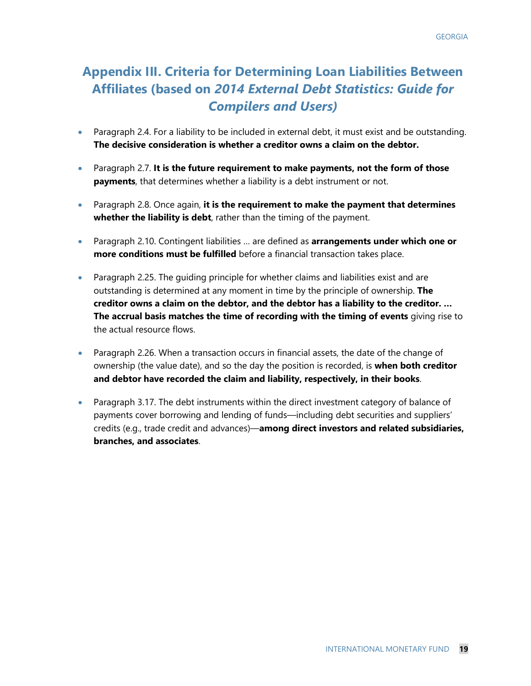### **Appendix III. Criteria for Determining Loan Liabilities Between Affiliates (based on** *2014 External Debt Statistics: Guide for Compilers and Users)*

- Paragraph 2.4. For a liability to be included in external debt, it must exist and be outstanding. **The decisive consideration is whether a creditor owns a claim on the debtor.**
- Paragraph 2.7. **It is the future requirement to make payments, not the form of those payments**, that determines whether a liability is a debt instrument or not.
- Paragraph 2.8. Once again, **it is the requirement to make the payment that determines whether the liability is debt**, rather than the timing of the payment.
- Paragraph 2.10. Contingent liabilities … are defined as **arrangements under which one or more conditions must be fulfilled** before a financial transaction takes place.
- Paragraph 2.25. The guiding principle for whether claims and liabilities exist and are outstanding is determined at any moment in time by the principle of ownership. **The creditor owns a claim on the debtor, and the debtor has a liability to the creditor. … The accrual basis matches the time of recording with the timing of events** giving rise to the actual resource flows.
- Paragraph 2.26. When a transaction occurs in financial assets, the date of the change of ownership (the value date), and so the day the position is recorded, is **when both creditor and debtor have recorded the claim and liability, respectively, in their books**.
- Paragraph 3.17. The debt instruments within the direct investment category of balance of payments cover borrowing and lending of funds—including debt securities and suppliers' credits (e.g., trade credit and advances)—**among direct investors and related subsidiaries, branches, and associates**.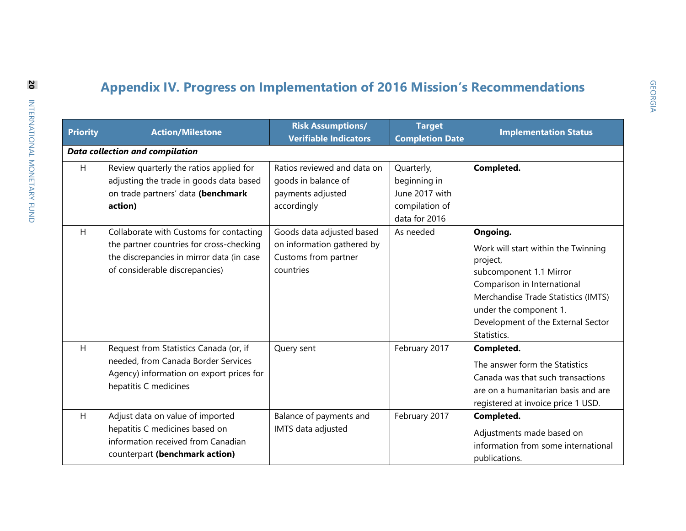# **Appendix IV. Progress on Implementation of 2016 Mission's Recommendations**

|                 |                                                                                                                                                                    | <b>Risk Assumptions/</b>                                                                     | <b>Target</b>                                                                   |                                                                                                                                                                                                                                             |  |
|-----------------|--------------------------------------------------------------------------------------------------------------------------------------------------------------------|----------------------------------------------------------------------------------------------|---------------------------------------------------------------------------------|---------------------------------------------------------------------------------------------------------------------------------------------------------------------------------------------------------------------------------------------|--|
| <b>Priority</b> | <b>Action/Milestone</b><br><b>Verifiable Indicators</b>                                                                                                            |                                                                                              | <b>Completion Date</b>                                                          | <b>Implementation Status</b>                                                                                                                                                                                                                |  |
|                 | Data collection and compilation                                                                                                                                    |                                                                                              |                                                                                 |                                                                                                                                                                                                                                             |  |
| H               | Review quarterly the ratios applied for<br>adjusting the trade in goods data based<br>on trade partners' data (benchmark<br>action)                                | Ratios reviewed and data on<br>goods in balance of<br>payments adjusted<br>accordingly       | Quarterly,<br>beginning in<br>June 2017 with<br>compilation of<br>data for 2016 | Completed.                                                                                                                                                                                                                                  |  |
| H               | Collaborate with Customs for contacting<br>the partner countries for cross-checking<br>the discrepancies in mirror data (in case<br>of considerable discrepancies) | Goods data adjusted based<br>on information gathered by<br>Customs from partner<br>countries | As needed                                                                       | Ongoing.<br>Work will start within the Twinning<br>project,<br>subcomponent 1.1 Mirror<br>Comparison in International<br>Merchandise Trade Statistics (IMTS)<br>under the component 1.<br>Development of the External Sector<br>Statistics. |  |
| Η               | Request from Statistics Canada (or, if<br>needed, from Canada Border Services<br>Agency) information on export prices for<br>hepatitis C medicines                 | Query sent                                                                                   | February 2017                                                                   | Completed.<br>The answer form the Statistics<br>Canada was that such transactions<br>are on a humanitarian basis and are<br>registered at invoice price 1 USD.                                                                              |  |
| H               | Adjust data on value of imported<br>hepatitis C medicines based on<br>information received from Canadian<br>counterpart (benchmark action)                         | Balance of payments and<br>IMTS data adjusted                                                | February 2017                                                                   | Completed.<br>Adjustments made based on<br>information from some international<br>publications.                                                                                                                                             |  |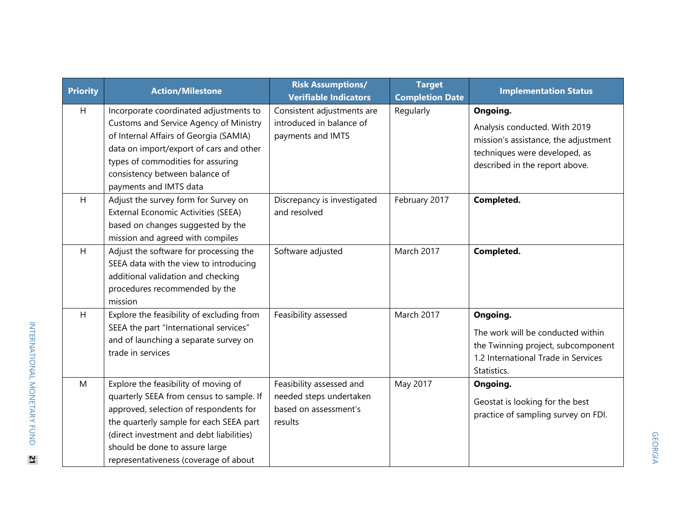| <b>Priority</b> | <b>Action/Milestone</b>                                                                                                                                                                                                                                                                      | <b>Risk Assumptions/</b><br><b>Verifiable Indicators</b>                                | <b>Target</b><br><b>Completion Date</b> | <b>Implementation Status</b>                                                                                                                         |
|-----------------|----------------------------------------------------------------------------------------------------------------------------------------------------------------------------------------------------------------------------------------------------------------------------------------------|-----------------------------------------------------------------------------------------|-----------------------------------------|------------------------------------------------------------------------------------------------------------------------------------------------------|
| H               | Incorporate coordinated adjustments to<br>Customs and Service Agency of Ministry<br>of Internal Affairs of Georgia (SAMIA)<br>data on import/export of cars and other<br>types of commodities for assuring<br>consistency between balance of<br>payments and IMTS data                       | Consistent adjustments are<br>introduced in balance of<br>payments and IMTS             | Regularly                               | Ongoing.<br>Analysis conducted. With 2019<br>mission's assistance, the adjustment<br>techniques were developed, as<br>described in the report above. |
| H               | Adjust the survey form for Survey on<br>External Economic Activities (SEEA)<br>based on changes suggested by the<br>mission and agreed with compiles                                                                                                                                         | Discrepancy is investigated<br>and resolved                                             | February 2017                           | Completed.                                                                                                                                           |
| H               | Adjust the software for processing the<br>SEEA data with the view to introducing<br>additional validation and checking<br>procedures recommended by the<br>mission                                                                                                                           | Software adjusted                                                                       | March 2017                              | Completed.                                                                                                                                           |
| H               | Explore the feasibility of excluding from<br>SEEA the part "International services"<br>and of launching a separate survey on<br>trade in services                                                                                                                                            | Feasibility assessed                                                                    | March 2017                              | Ongoing.<br>The work will be conducted within<br>the Twinning project, subcomponent<br>1.2 International Trade in Services<br>Statistics.            |
| M               | Explore the feasibility of moving of<br>quarterly SEEA from census to sample. If<br>approved, selection of respondents for<br>the quarterly sample for each SEEA part<br>(direct investment and debt liabilities)<br>should be done to assure large<br>representativeness (coverage of about | Feasibility assessed and<br>needed steps undertaken<br>based on assessment's<br>results | May 2017                                | Ongoing.<br>Geostat is looking for the best<br>practice of sampling survey on FDI.                                                                   |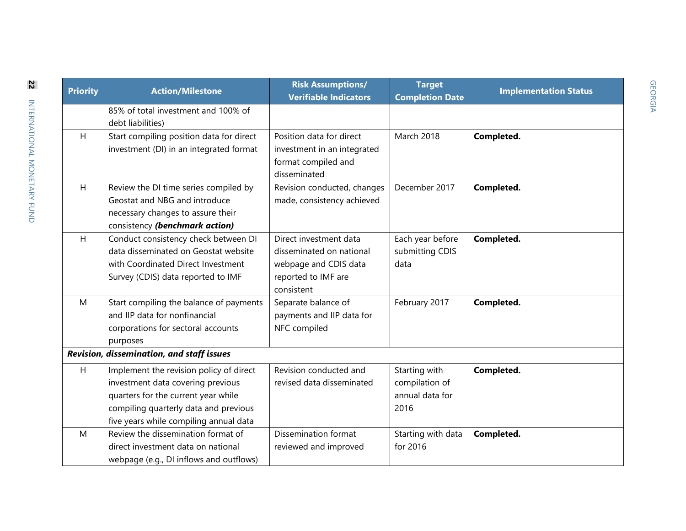| Priority | <b>Action/Milestone</b>                   | <b>Risk Assumptions/</b><br><b>Verifiable Indicators</b> | <b>Target</b><br><b>Completion Date</b> | <b>Implementation Status</b> |  |  |  |
|----------|-------------------------------------------|----------------------------------------------------------|-----------------------------------------|------------------------------|--|--|--|
|          | 85% of total investment and 100% of       |                                                          |                                         |                              |  |  |  |
|          | debt liabilities)                         |                                                          |                                         |                              |  |  |  |
| H        | Start compiling position data for direct  | Position data for direct                                 | <b>March 2018</b>                       | Completed.                   |  |  |  |
|          | investment (DI) in an integrated format   | investment in an integrated                              |                                         |                              |  |  |  |
|          |                                           | format compiled and                                      |                                         |                              |  |  |  |
|          |                                           | disseminated                                             |                                         |                              |  |  |  |
| H        | Review the DI time series compiled by     | Revision conducted, changes                              | December 2017                           | Completed.                   |  |  |  |
|          | Geostat and NBG and introduce             | made, consistency achieved                               |                                         |                              |  |  |  |
|          | necessary changes to assure their         |                                                          |                                         |                              |  |  |  |
|          | consistency (benchmark action)            |                                                          |                                         |                              |  |  |  |
| H        | Conduct consistency check between DI      | Direct investment data                                   | Each year before                        | Completed.                   |  |  |  |
|          | data disseminated on Geostat website      | disseminated on national                                 | submitting CDIS                         |                              |  |  |  |
|          | with Coordinated Direct Investment        | webpage and CDIS data                                    | data                                    |                              |  |  |  |
|          | Survey (CDIS) data reported to IMF        | reported to IMF are                                      |                                         |                              |  |  |  |
|          |                                           | consistent                                               |                                         |                              |  |  |  |
| M        | Start compiling the balance of payments   | Separate balance of                                      | February 2017                           | Completed.                   |  |  |  |
|          | and IIP data for nonfinancial             | payments and IIP data for                                |                                         |                              |  |  |  |
|          | corporations for sectoral accounts        | NFC compiled                                             |                                         |                              |  |  |  |
|          | purposes                                  |                                                          |                                         |                              |  |  |  |
|          | Revision, dissemination, and staff issues |                                                          |                                         |                              |  |  |  |
| H        | Implement the revision policy of direct   | Revision conducted and                                   | Starting with                           | Completed.                   |  |  |  |
|          | investment data covering previous         | revised data disseminated                                | compilation of                          |                              |  |  |  |
|          | quarters for the current year while       |                                                          | annual data for                         |                              |  |  |  |
|          | compiling quarterly data and previous     |                                                          | 2016                                    |                              |  |  |  |
|          | five years while compiling annual data    |                                                          |                                         |                              |  |  |  |
| M        | Review the dissemination format of        | Dissemination format                                     | Starting with data                      | Completed.                   |  |  |  |
|          | direct investment data on national        | reviewed and improved                                    | for 2016                                |                              |  |  |  |
|          | webpage (e.g., DI inflows and outflows)   |                                                          |                                         |                              |  |  |  |